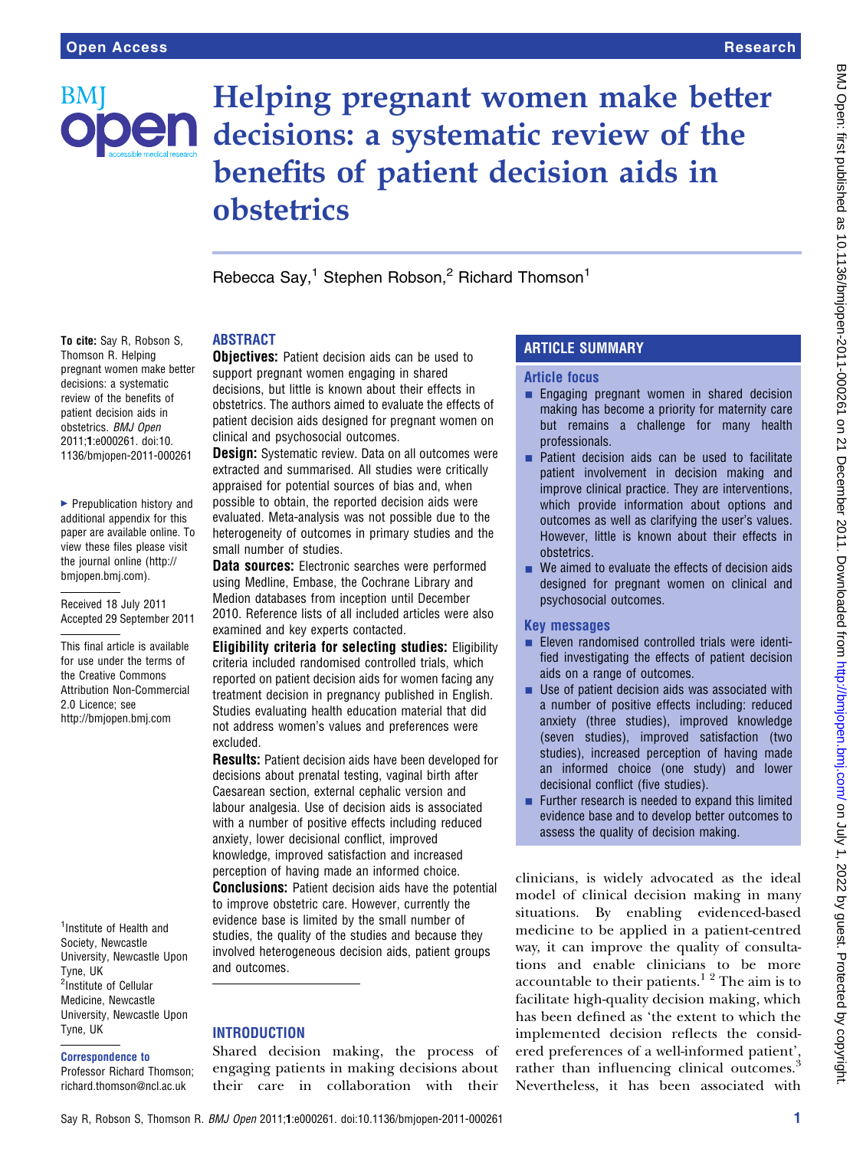# BMI

To cite: Say R, Robson S, Thomson R. Helping pregnant women make better decisions: a systematic review of the benefits of patient decision aids in obstetrics. BMJ Open 2011;1:e000261. doi:10. 1136/bmjopen-2011-000261

**Prepublication history and** additional appendix for this paper are available online. To view these files please visit the journal online (http:// bmjopen.bmj.com).

Received 18 July 2011 Accepted 29 September 2011 This final article is available for use under the terms of the Creative Commons Attribution Non-Commercial

2.0 Licence; see http://bmjopen.bmj.com

## Helping pregnant women make better **Den** decisions: a systematic review of the benefits of patient decision aids in obstetrics

Rebecca Say,<sup>1</sup> Stephen Robson,<sup>2</sup> Richard Thomson<sup>1</sup>

#### ABSTRACT

**Objectives:** Patient decision aids can be used to support pregnant women engaging in shared decisions, but little is known about their effects in obstetrics. The authors aimed to evaluate the effects of patient decision aids designed for pregnant women on clinical and psychosocial outcomes.

**Design:** Systematic review. Data on all outcomes were extracted and summarised. All studies were critically appraised for potential sources of bias and, when possible to obtain, the reported decision aids were evaluated. Meta-analysis was not possible due to the heterogeneity of outcomes in primary studies and the small number of studies.

Data sources: Electronic searches were performed using Medline, Embase, the Cochrane Library and Medion databases from inception until December 2010. Reference lists of all included articles were also examined and key experts contacted.

Eligibility criteria for selecting studies: Eligibility criteria included randomised controlled trials, which reported on patient decision aids for women facing any treatment decision in pregnancy published in English. Studies evaluating health education material that did not address women's values and preferences were excluded.

Results: Patient decision aids have been developed for decisions about prenatal testing, vaginal birth after Caesarean section, external cephalic version and labour analgesia. Use of decision aids is associated with a number of positive effects including reduced anxiety, lower decisional conflict, improved knowledge, improved satisfaction and increased perception of having made an informed choice. **Conclusions:** Patient decision aids have the potential to improve obstetric care. However, currently the evidence base is limited by the small number of

studies, the quality of the studies and because they involved heterogeneous decision aids, patient groups and outcomes.

#### **INTRODUCTION**

Shared decision making, the process of engaging patients in making decisions about their care in collaboration with their

#### ARTICLE SUMMARY

#### Article focus

- $\blacksquare$  Engaging pregnant women in shared decision making has become a priority for maternity care but remains a challenge for many health professionals.
- $\blacksquare$  Patient decision aids can be used to facilitate patient involvement in decision making and improve clinical practice. They are interventions, which provide information about options and outcomes as well as clarifying the user's values. However, little is known about their effects in obstetrics.
- $\blacksquare$  We aimed to evaluate the effects of decision aids designed for pregnant women on clinical and psychosocial outcomes.

#### Key messages

- $\blacksquare$  Eleven randomised controlled trials were identified investigating the effects of patient decision aids on a range of outcomes.
- $\blacksquare$  Use of patient decision aids was associated with a number of positive effects including: reduced anxiety (three studies), improved knowledge (seven studies), improved satisfaction (two studies), increased perception of having made an informed choice (one study) and lower decisional conflict (five studies).
- $\blacksquare$  Further research is needed to expand this limited evidence base and to develop better outcomes to assess the quality of decision making.

clinicians, is widely advocated as the ideal model of clinical decision making in many situations. By enabling evidenced-based medicine to be applied in a patient-centred way, it can improve the quality of consultations and enable clinicians to be more accountable to their patients.<sup>12</sup> The aim is to facilitate high-quality decision making, which has been defined as 'the extent to which the implemented decision reflects the considered preferences of a well-informed patient', rather than influencing clinical outcomes.<sup>3</sup> Nevertheless, it has been associated with

<sup>1</sup> Institute of Health and Society, Newcastle University, Newcastle Upon Tyne, UK <sup>2</sup>Institute of Cellular Medicine, Newcastle University, Newcastle Upon Tyne, UK

#### Correspondence to

Professor Richard Thomson; richard.thomson@ncl.ac.uk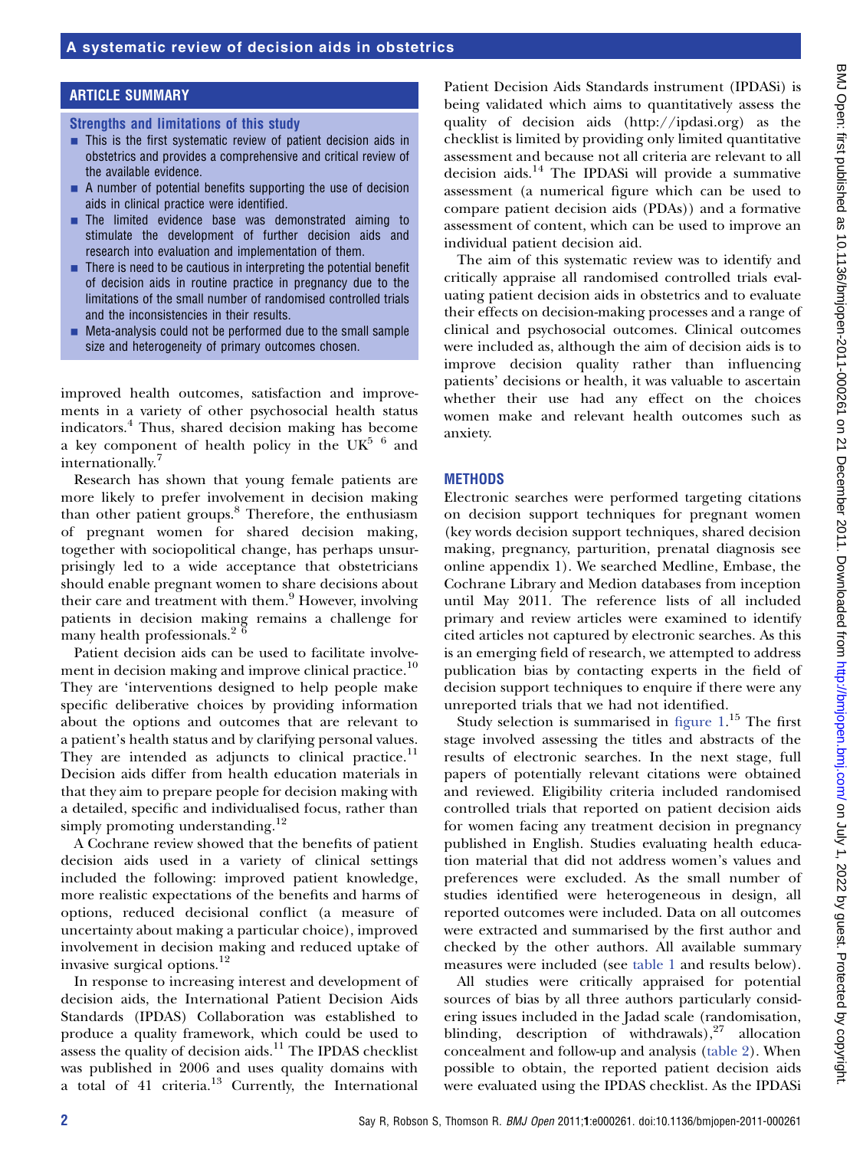#### ARTICLE SUMMARY

Strengths and limitations of this study

- $\blacksquare$  This is the first systematic review of patient decision aids in obstetrics and provides a comprehensive and critical review of the available evidence.
- $\blacksquare$  A number of potential benefits supporting the use of decision aids in clinical practice were identified.
- **The limited evidence base was demonstrated aiming to** stimulate the development of further decision aids and research into evaluation and implementation of them.
- $\blacksquare$  There is need to be cautious in interpreting the potential benefit of decision aids in routine practice in pregnancy due to the limitations of the small number of randomised controlled trials and the inconsistencies in their results.
- $\blacksquare$  Meta-analysis could not be performed due to the small sample size and heterogeneity of primary outcomes chosen.

improved health outcomes, satisfaction and improvements in a variety of other psychosocial health status indicators.<sup>4</sup> Thus, shared decision making has become a key component of health policy in the  $UK<sup>5-6</sup>$  and internationally.<sup>7</sup>

Research has shown that young female patients are more likely to prefer involvement in decision making than other patient groups.<sup>8</sup> Therefore, the enthusiasm of pregnant women for shared decision making, together with sociopolitical change, has perhaps unsurprisingly led to a wide acceptance that obstetricians should enable pregnant women to share decisions about their care and treatment with them.<sup>9</sup> However, involving patients in decision making remains a challenge for many health professionals.<sup>2</sup><sup>6</sup>

Patient decision aids can be used to facilitate involvement in decision making and improve clinical practice.<sup>10</sup> They are 'interventions designed to help people make specific deliberative choices by providing information about the options and outcomes that are relevant to a patient's health status and by clarifying personal values. They are intended as adjuncts to clinical practice.<sup>11</sup> Decision aids differ from health education materials in that they aim to prepare people for decision making with a detailed, specific and individualised focus, rather than simply promoting understanding.<sup>12</sup>

A Cochrane review showed that the benefits of patient decision aids used in a variety of clinical settings included the following: improved patient knowledge, more realistic expectations of the benefits and harms of options, reduced decisional conflict (a measure of uncertainty about making a particular choice), improved involvement in decision making and reduced uptake of invasive surgical options.<sup>12</sup>

In response to increasing interest and development of decision aids, the International Patient Decision Aids Standards (IPDAS) Collaboration was established to produce a quality framework, which could be used to assess the quality of decision aids.<sup>11</sup> The IPDAS checklist was published in 2006 and uses quality domains with a total of  $41$  criteria.<sup>13</sup> Currently, the International

Patient Decision Aids Standards instrument (IPDASi) is being validated which aims to quantitatively assess the quality of decision aids (http://ipdasi.org) as the checklist is limited by providing only limited quantitative assessment and because not all criteria are relevant to all decision aids. $14$  The IPDASi will provide a summative assessment (a numerical figure which can be used to compare patient decision aids (PDAs)) and a formative assessment of content, which can be used to improve an individual patient decision aid.

The aim of this systematic review was to identify and critically appraise all randomised controlled trials evaluating patient decision aids in obstetrics and to evaluate their effects on decision-making processes and a range of clinical and psychosocial outcomes. Clinical outcomes were included as, although the aim of decision aids is to improve decision quality rather than influencing patients' decisions or health, it was valuable to ascertain whether their use had any effect on the choices women make and relevant health outcomes such as anxiety.

#### **METHODS**

Electronic searches were performed targeting citations on decision support techniques for pregnant women (key words decision support techniques, shared decision making, pregnancy, parturition, prenatal diagnosis see online appendix 1). We searched Medline, Embase, the Cochrane Library and Medion databases from inception until May 2011. The reference lists of all included primary and review articles were examined to identify cited articles not captured by electronic searches. As this is an emerging field of research, we attempted to address publication bias by contacting experts in the field of decision support techniques to enquire if there were any unreported trials that we had not identified.

Study selection is summarised in figure  $1.^{15}$  The first stage involved assessing the titles and abstracts of the results of electronic searches. In the next stage, full papers of potentially relevant citations were obtained and reviewed. Eligibility criteria included randomised controlled trials that reported on patient decision aids for women facing any treatment decision in pregnancy published in English. Studies evaluating health education material that did not address women's values and preferences were excluded. As the small number of studies identified were heterogeneous in design, all reported outcomes were included. Data on all outcomes were extracted and summarised by the first author and checked by the other authors. All available summary measures were included (see table 1 and results below).

All studies were critically appraised for potential sources of bias by all three authors particularly considering issues included in the Jadad scale (randomisation, blinding, description of withdrawals), $27$  allocation concealment and follow-up and analysis (table 2). When possible to obtain, the reported patient decision aids were evaluated using the IPDAS checklist. As the IPDASi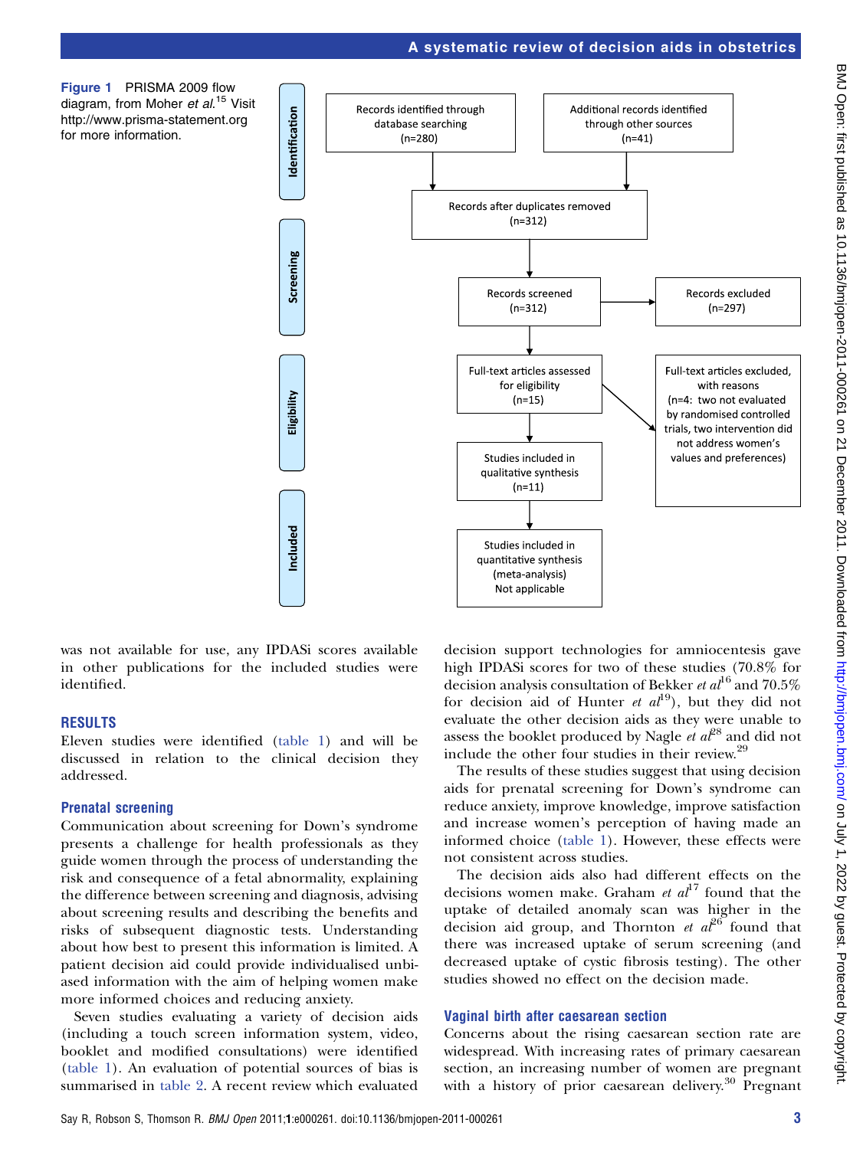#### A systematic review of decision aids in obstetrics

Figure 1 PRISMA 2009 flow diagram, from Moher *et al*.<sup>15</sup> Visit http://www.prisma-statement.org for more information.



was not available for use, any IPDASi scores available in other publications for the included studies were identified.

#### RESULTS

Eleven studies were identified (table 1) and will be discussed in relation to the clinical decision they addressed.

#### Prenatal screening

Communication about screening for Down's syndrome presents a challenge for health professionals as they guide women through the process of understanding the risk and consequence of a fetal abnormality, explaining the difference between screening and diagnosis, advising about screening results and describing the benefits and risks of subsequent diagnostic tests. Understanding about how best to present this information is limited. A patient decision aid could provide individualised unbiased information with the aim of helping women make more informed choices and reducing anxiety.

Seven studies evaluating a variety of decision aids (including a touch screen information system, video, booklet and modified consultations) were identified (table 1). An evaluation of potential sources of bias is summarised in table 2. A recent review which evaluated

decision support technologies for amniocentesis gave high IPDASi scores for two of these studies (70.8% for decision analysis consultation of Bekker et  $al^{16}$  and  $70.5\%$ for decision aid of Hunter et  $al^{19}$ ), but they did not evaluate the other decision aids as they were unable to assess the booklet produced by Nagle *et*  $a^{28}$  and did not include the other four studies in their review.<sup>29</sup>

The results of these studies suggest that using decision aids for prenatal screening for Down's syndrome can reduce anxiety, improve knowledge, improve satisfaction and increase women's perception of having made an informed choice (table 1). However, these effects were not consistent across studies.

The decision aids also had different effects on the decisions women make. Graham *et*  $al^{17}$  *found that the* uptake of detailed anomaly scan was higher in the decision aid group, and Thornton et  $a^{26}$  found that there was increased uptake of serum screening (and decreased uptake of cystic fibrosis testing). The other studies showed no effect on the decision made.

#### Vaginal birth after caesarean section

Concerns about the rising caesarean section rate are widespread. With increasing rates of primary caesarean section, an increasing number of women are pregnant with a history of prior caesarean delivery.<sup>30</sup> Pregnant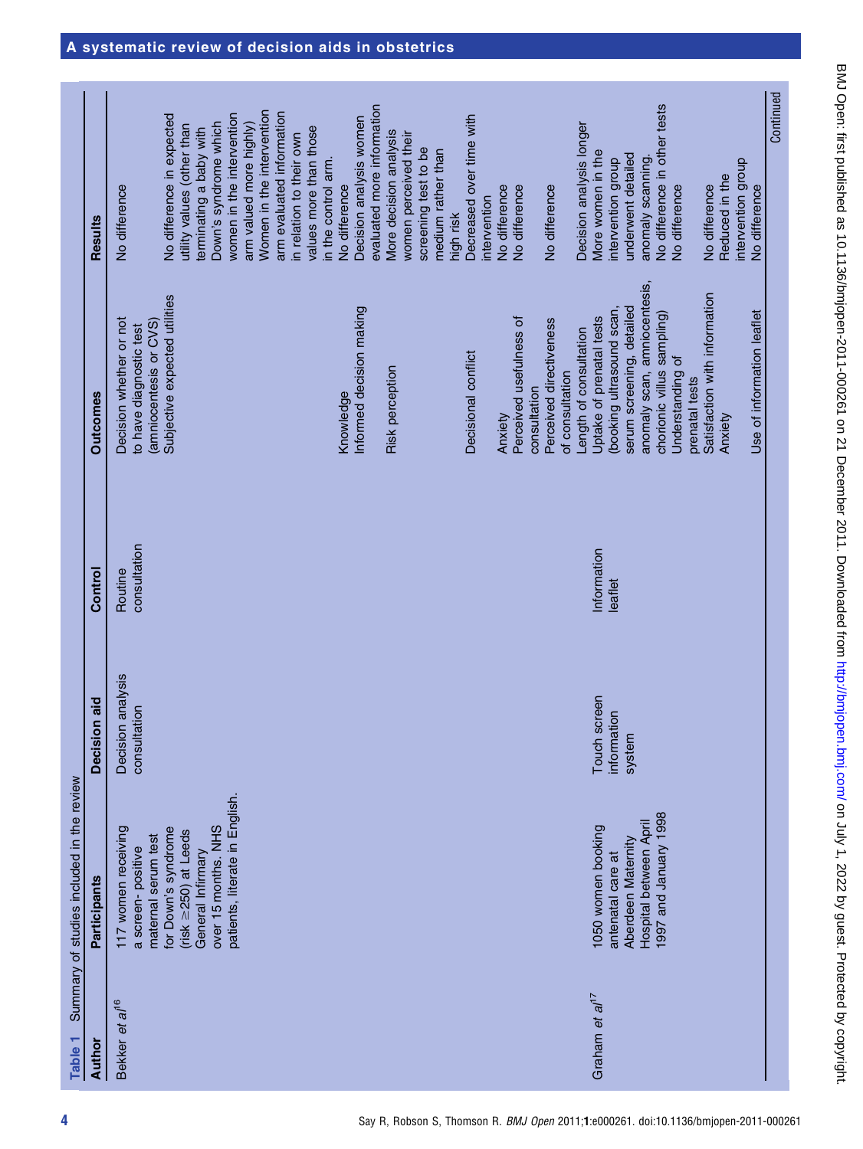| Table 1                    | Summary of studies included in the review                                                                                                                                                          |                                            |                         |                                                                                                                                                                                                                                                                  |                                                                                                                                                                                                                                                                                                                                                                        |
|----------------------------|----------------------------------------------------------------------------------------------------------------------------------------------------------------------------------------------------|--------------------------------------------|-------------------------|------------------------------------------------------------------------------------------------------------------------------------------------------------------------------------------------------------------------------------------------------------------|------------------------------------------------------------------------------------------------------------------------------------------------------------------------------------------------------------------------------------------------------------------------------------------------------------------------------------------------------------------------|
| Author                     | Participants                                                                                                                                                                                       | Decision aid                               | Control                 | <b>Outcomes</b>                                                                                                                                                                                                                                                  | <b>Results</b>                                                                                                                                                                                                                                                                                                                                                         |
| Bekker et al <sup>16</sup> | patients, literate in English.<br>over 15 months. NHS<br>117 women receiving<br>for Down's syndrome<br>(risk $\geq$ 250) at Leeds<br>maternal serum test<br>a screen-positive<br>General Infirmary | on analysis<br>Itation<br>Decisi<br>consul | consultation<br>Routine | Subjective expected utilities<br>Informed decision making<br>Decision whether or not<br>(amniocentesis or CVS)<br>to have diagnostic test<br>Knowledge                                                                                                           | Women in the intervention<br>arm evaluated information<br>No difference in expected<br>women in the intervention<br>Decision analysis women<br>arm valued more highly)<br>utility values (other than<br>Down's syndrome which<br>values more than those<br>terminating a baby with<br>in relation to their own<br>n the control arm.<br>No difference<br>No difference |
|                            |                                                                                                                                                                                                    |                                            |                         | Perceived usefulness of<br>Perceived directiveness<br>Length of consultation<br>Decisional conflict<br><b>Risk perception</b><br>of consultation<br>consultation<br>Anxiety                                                                                      | evaluated more information<br>Decreased over time with<br>Decision analysis longer<br>More decision analysis<br>women perceived their<br>screening test to be<br>medium rather than<br>No difference<br>No difference<br>No difference<br>ntervention<br>high risk                                                                                                     |
| Graham et al <sup>17</sup> | 1997 and January 1998<br>Hospital between April<br>1050 women booking<br>Aberdeen Maternity<br>antenatal care at                                                                                   | screen<br>information<br>system<br>Touch   | Information<br>leatlet  | anomaly scan, amniocentesis,<br>Satisfaction with information<br>serum screening, detailed<br>(booking ultrasound scan,<br>Use of information leaflet<br>chorionic villus sampling)<br>Uptake of prenatal tests<br>Understanding of<br>prenatal tests<br>Anxiety | No difference in other tests<br>More women in the<br>underwent detailed<br>anomaly scanning.<br>intervention group<br>intervention group<br>Reduced in the<br>No difference<br>No difference<br>No difference                                                                                                                                                          |
|                            |                                                                                                                                                                                                    |                                            |                         |                                                                                                                                                                                                                                                                  | Continued                                                                                                                                                                                                                                                                                                                                                              |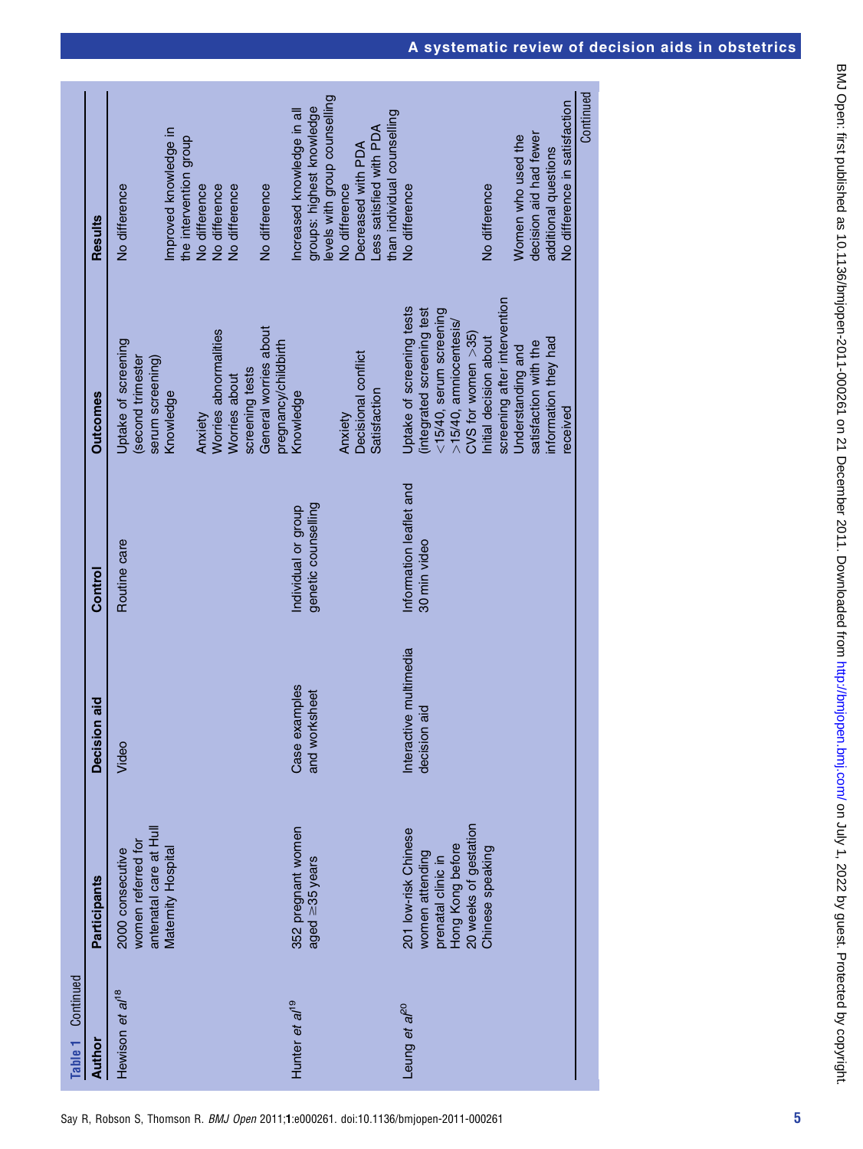| levels with group counselling<br>No difference in satisfaction<br>groups: highest knowledge<br>Increased knowledge in all<br>than individual counselling<br>Less satisfied with PDA<br>Improved knowledge in<br>decision aid had fewer<br>Women who used the<br>the intervention group<br>Decreased with PDA<br>additional questions<br>No difference<br>No difference<br>No difference<br>No difference<br>No difference<br>No difference<br>No difference<br>No difference<br>screening after intervention<br>Uptake of screening tests<br>integrated screening test<br><15/40, serum screening<br>$>15/40$ , amniocentesis/<br>General worries about<br>Worries abnormalities<br>$CVS$ for women $>35$ )<br>Initial decision about<br>information they had<br>Uptake of screening<br>pregnancy/childbirth<br>satisfaction with the<br>Understanding and<br>Decisional conflict<br>serum screening)<br>second trimester<br>screening tests<br>Worries about<br>Satisfaction<br>Knowledge<br>Knowledge<br>eceived<br>Anxiety<br>Anxiety<br>Information leaflet and<br>genetic counselling<br>Individual or group<br>Routine care<br>30 min video<br>Interactive multimedia<br>Case examples<br>and worksheet<br>aid<br>decision<br>Video<br>20 weeks of gestation<br>352 pregnant women<br>antenatal care at Hull<br>201 low-risk Chinese<br>women referred for<br>Hong Kong before<br>Maternity Hospital<br>Chinese speaking<br>2000 consecutive<br>women attending<br>prenatal clinic in<br>aged $\geq$ 35 years | Continued<br>Hewison et al <sup>18</sup><br>Hunter et al <sup>19</sup><br>Leung et a <sup>po</sup> | Table 1 Continued |              |              |         |                 |         |
|---------------------------------------------------------------------------------------------------------------------------------------------------------------------------------------------------------------------------------------------------------------------------------------------------------------------------------------------------------------------------------------------------------------------------------------------------------------------------------------------------------------------------------------------------------------------------------------------------------------------------------------------------------------------------------------------------------------------------------------------------------------------------------------------------------------------------------------------------------------------------------------------------------------------------------------------------------------------------------------------------------------------------------------------------------------------------------------------------------------------------------------------------------------------------------------------------------------------------------------------------------------------------------------------------------------------------------------------------------------------------------------------------------------------------------------------------------------------------------------------------------------------|----------------------------------------------------------------------------------------------------|-------------------|--------------|--------------|---------|-----------------|---------|
|                                                                                                                                                                                                                                                                                                                                                                                                                                                                                                                                                                                                                                                                                                                                                                                                                                                                                                                                                                                                                                                                                                                                                                                                                                                                                                                                                                                                                                                                                                                     |                                                                                                    |                   | Participants | Decision aid | Control | <b>Outcomes</b> | Results |
|                                                                                                                                                                                                                                                                                                                                                                                                                                                                                                                                                                                                                                                                                                                                                                                                                                                                                                                                                                                                                                                                                                                                                                                                                                                                                                                                                                                                                                                                                                                     |                                                                                                    |                   |              |              |         |                 |         |
|                                                                                                                                                                                                                                                                                                                                                                                                                                                                                                                                                                                                                                                                                                                                                                                                                                                                                                                                                                                                                                                                                                                                                                                                                                                                                                                                                                                                                                                                                                                     |                                                                                                    |                   |              |              |         |                 |         |
|                                                                                                                                                                                                                                                                                                                                                                                                                                                                                                                                                                                                                                                                                                                                                                                                                                                                                                                                                                                                                                                                                                                                                                                                                                                                                                                                                                                                                                                                                                                     |                                                                                                    |                   |              |              |         |                 |         |
|                                                                                                                                                                                                                                                                                                                                                                                                                                                                                                                                                                                                                                                                                                                                                                                                                                                                                                                                                                                                                                                                                                                                                                                                                                                                                                                                                                                                                                                                                                                     |                                                                                                    |                   |              |              |         |                 |         |
|                                                                                                                                                                                                                                                                                                                                                                                                                                                                                                                                                                                                                                                                                                                                                                                                                                                                                                                                                                                                                                                                                                                                                                                                                                                                                                                                                                                                                                                                                                                     |                                                                                                    |                   |              |              |         |                 |         |
|                                                                                                                                                                                                                                                                                                                                                                                                                                                                                                                                                                                                                                                                                                                                                                                                                                                                                                                                                                                                                                                                                                                                                                                                                                                                                                                                                                                                                                                                                                                     |                                                                                                    |                   |              |              |         |                 |         |
|                                                                                                                                                                                                                                                                                                                                                                                                                                                                                                                                                                                                                                                                                                                                                                                                                                                                                                                                                                                                                                                                                                                                                                                                                                                                                                                                                                                                                                                                                                                     |                                                                                                    |                   |              |              |         |                 |         |
|                                                                                                                                                                                                                                                                                                                                                                                                                                                                                                                                                                                                                                                                                                                                                                                                                                                                                                                                                                                                                                                                                                                                                                                                                                                                                                                                                                                                                                                                                                                     |                                                                                                    |                   |              |              |         |                 |         |
|                                                                                                                                                                                                                                                                                                                                                                                                                                                                                                                                                                                                                                                                                                                                                                                                                                                                                                                                                                                                                                                                                                                                                                                                                                                                                                                                                                                                                                                                                                                     |                                                                                                    |                   |              |              |         |                 |         |
|                                                                                                                                                                                                                                                                                                                                                                                                                                                                                                                                                                                                                                                                                                                                                                                                                                                                                                                                                                                                                                                                                                                                                                                                                                                                                                                                                                                                                                                                                                                     |                                                                                                    |                   |              |              |         |                 |         |
|                                                                                                                                                                                                                                                                                                                                                                                                                                                                                                                                                                                                                                                                                                                                                                                                                                                                                                                                                                                                                                                                                                                                                                                                                                                                                                                                                                                                                                                                                                                     |                                                                                                    |                   |              |              |         |                 |         |
|                                                                                                                                                                                                                                                                                                                                                                                                                                                                                                                                                                                                                                                                                                                                                                                                                                                                                                                                                                                                                                                                                                                                                                                                                                                                                                                                                                                                                                                                                                                     |                                                                                                    |                   |              |              |         |                 |         |
|                                                                                                                                                                                                                                                                                                                                                                                                                                                                                                                                                                                                                                                                                                                                                                                                                                                                                                                                                                                                                                                                                                                                                                                                                                                                                                                                                                                                                                                                                                                     |                                                                                                    |                   |              |              |         |                 |         |
|                                                                                                                                                                                                                                                                                                                                                                                                                                                                                                                                                                                                                                                                                                                                                                                                                                                                                                                                                                                                                                                                                                                                                                                                                                                                                                                                                                                                                                                                                                                     |                                                                                                    |                   |              |              |         |                 |         |
|                                                                                                                                                                                                                                                                                                                                                                                                                                                                                                                                                                                                                                                                                                                                                                                                                                                                                                                                                                                                                                                                                                                                                                                                                                                                                                                                                                                                                                                                                                                     |                                                                                                    |                   |              |              |         |                 |         |
|                                                                                                                                                                                                                                                                                                                                                                                                                                                                                                                                                                                                                                                                                                                                                                                                                                                                                                                                                                                                                                                                                                                                                                                                                                                                                                                                                                                                                                                                                                                     |                                                                                                    |                   |              |              |         |                 |         |
|                                                                                                                                                                                                                                                                                                                                                                                                                                                                                                                                                                                                                                                                                                                                                                                                                                                                                                                                                                                                                                                                                                                                                                                                                                                                                                                                                                                                                                                                                                                     |                                                                                                    |                   |              |              |         |                 |         |
|                                                                                                                                                                                                                                                                                                                                                                                                                                                                                                                                                                                                                                                                                                                                                                                                                                                                                                                                                                                                                                                                                                                                                                                                                                                                                                                                                                                                                                                                                                                     |                                                                                                    |                   |              |              |         |                 |         |
|                                                                                                                                                                                                                                                                                                                                                                                                                                                                                                                                                                                                                                                                                                                                                                                                                                                                                                                                                                                                                                                                                                                                                                                                                                                                                                                                                                                                                                                                                                                     |                                                                                                    |                   |              |              |         |                 |         |
|                                                                                                                                                                                                                                                                                                                                                                                                                                                                                                                                                                                                                                                                                                                                                                                                                                                                                                                                                                                                                                                                                                                                                                                                                                                                                                                                                                                                                                                                                                                     |                                                                                                    |                   |              |              |         |                 |         |
|                                                                                                                                                                                                                                                                                                                                                                                                                                                                                                                                                                                                                                                                                                                                                                                                                                                                                                                                                                                                                                                                                                                                                                                                                                                                                                                                                                                                                                                                                                                     |                                                                                                    |                   |              |              |         |                 |         |
|                                                                                                                                                                                                                                                                                                                                                                                                                                                                                                                                                                                                                                                                                                                                                                                                                                                                                                                                                                                                                                                                                                                                                                                                                                                                                                                                                                                                                                                                                                                     |                                                                                                    |                   |              |              |         |                 |         |
|                                                                                                                                                                                                                                                                                                                                                                                                                                                                                                                                                                                                                                                                                                                                                                                                                                                                                                                                                                                                                                                                                                                                                                                                                                                                                                                                                                                                                                                                                                                     |                                                                                                    |                   |              |              |         |                 |         |
|                                                                                                                                                                                                                                                                                                                                                                                                                                                                                                                                                                                                                                                                                                                                                                                                                                                                                                                                                                                                                                                                                                                                                                                                                                                                                                                                                                                                                                                                                                                     |                                                                                                    |                   |              |              |         |                 |         |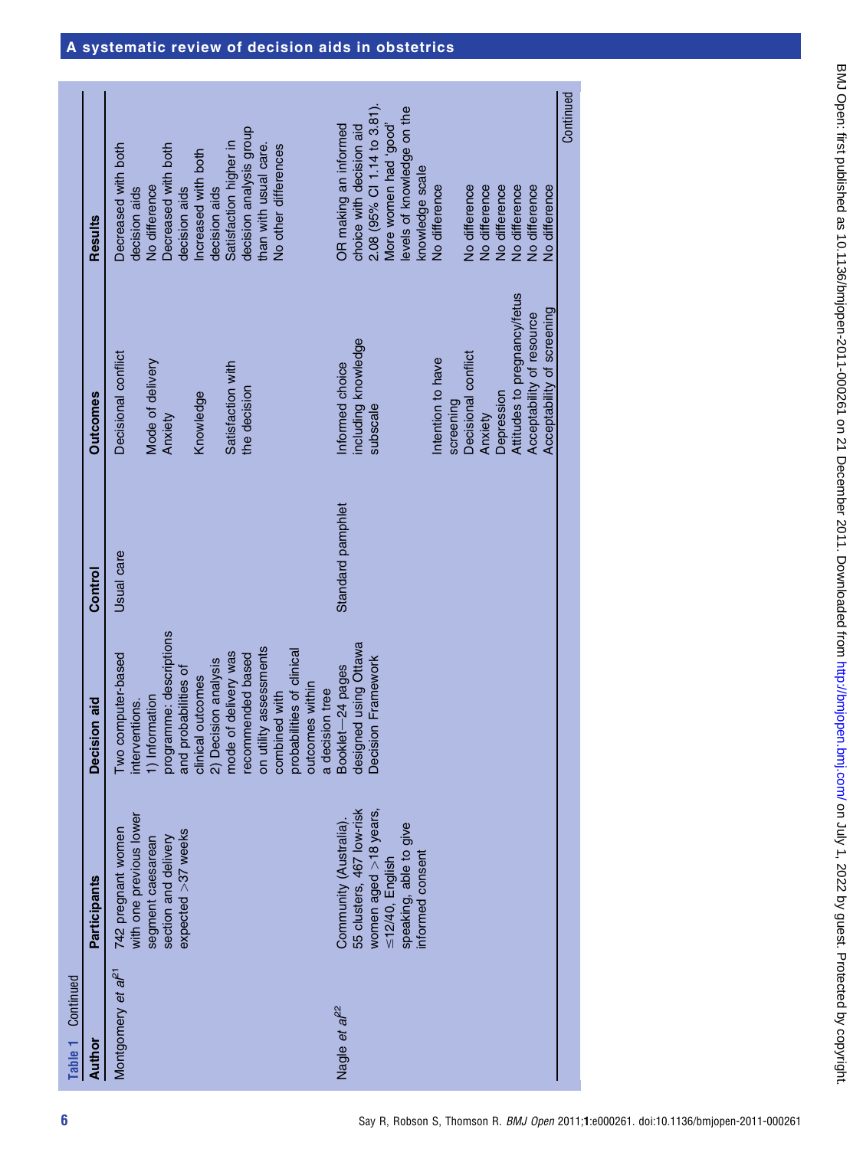| Continued<br>Table 1                 |                                               |                                           |                   |                              |                                      |
|--------------------------------------|-----------------------------------------------|-------------------------------------------|-------------------|------------------------------|--------------------------------------|
| Author                               | Participants                                  | Decision aid                              | Control           | <b>Outcomes</b>              | Results                              |
| Montgomery <i>et al<sup>21</sup></i> | with one previous lower<br>742 pregnant women | Two computer-based<br>interventions.      | Usual care        | Decisional conflict          | Decreased with both<br>decision aids |
|                                      | segment caesarean                             | 1) Information                            |                   | Mode of delivery             | No difference                        |
|                                      | section and delivery                          | programme: descriptions                   |                   | Anxiety                      | Decreased with both                  |
|                                      | expected $>37$ weeks                          | and probabilities of<br>clinical outcomes |                   | Knowledge                    | Increased with both<br>decision aids |
|                                      |                                               | 2) Decision analysis                      |                   |                              | decision aids                        |
|                                      |                                               | mode of delivery was                      |                   | Satisfaction with            | Satisfaction higher in               |
|                                      |                                               | recommended based                         |                   | the decision                 | decision analysis group              |
|                                      |                                               | on utility assessments                    |                   |                              | than with usual care.                |
|                                      |                                               | combined with                             |                   |                              | No other differences                 |
|                                      |                                               | probabilities of clinical                 |                   |                              |                                      |
|                                      |                                               | outcomes within<br>a decision tree        |                   |                              |                                      |
| Nagle <i>et al<sup>22</sup></i>      | Community (Australia).                        | Booklet-24 pages                          | Standard pamphlet | Informed choice              | OR making an informed                |
|                                      | 55 clusters, 467 low-risk                     | designed using Ottawa                     |                   | including knowledge          | choice with decision aid             |
|                                      | women aged $>$ 18 years,                      | Decision Framework                        |                   | subscale                     | $2.08$ (95% CI 1.14 to 3.81).        |
|                                      | $\leq$ 12/40, English                         |                                           |                   |                              | poob, pey uewow aron                 |
|                                      | speaking, able to give                        |                                           |                   |                              | levels of knowledge on the           |
|                                      | informed consent                              |                                           |                   |                              | knowledge scale                      |
|                                      |                                               |                                           |                   | Intention to have            | No difference                        |
|                                      |                                               |                                           |                   | screening                    |                                      |
|                                      |                                               |                                           |                   | Decisional conflict          | No difference                        |
|                                      |                                               |                                           |                   | Anxiety                      | No difference                        |
|                                      |                                               |                                           |                   | Depression                   | No difference                        |
|                                      |                                               |                                           |                   | Attitudes to pregnancy/fetus | No difference                        |
|                                      |                                               |                                           |                   | Acceptability of resource    | No difference                        |
|                                      |                                               |                                           |                   | Acceptability of screening   | No difference                        |
|                                      |                                               |                                           |                   |                              | Continued                            |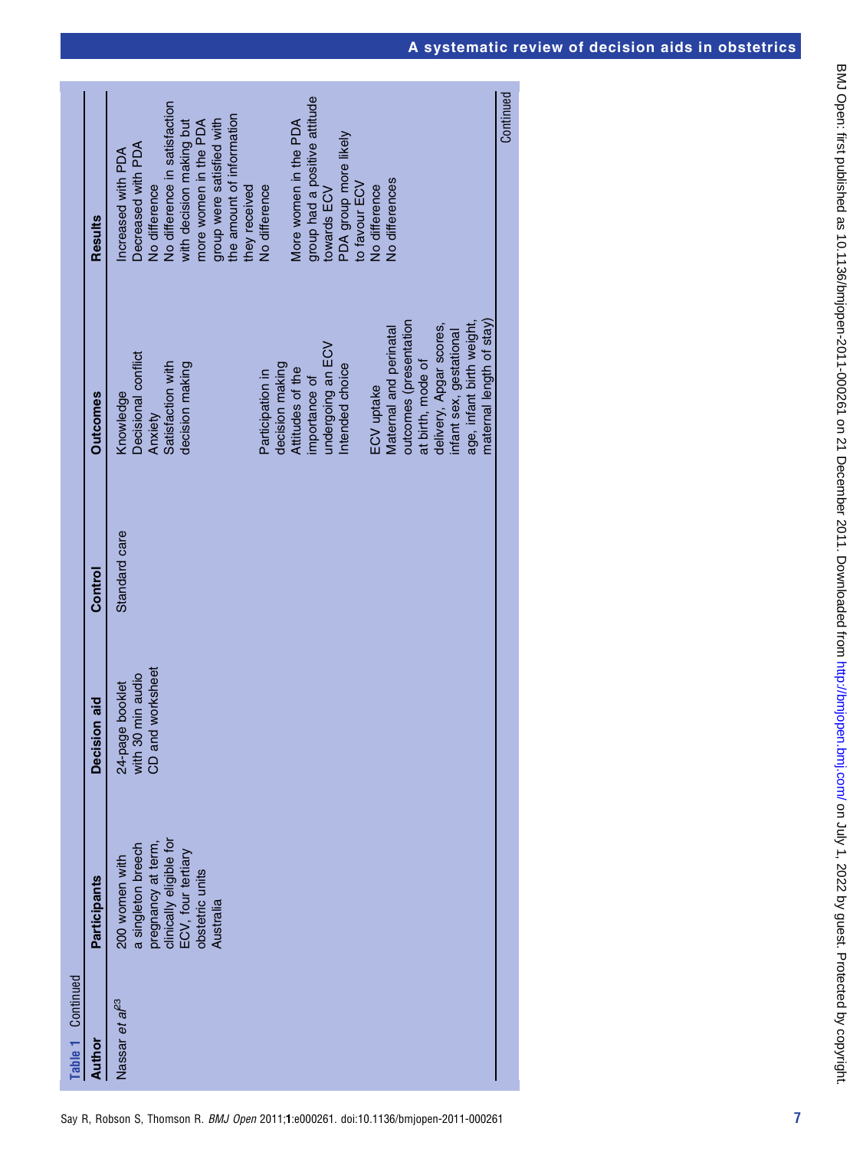|                   | Results             | group had a positive attitude<br>No difference in satisfaction<br>the amount of information<br>group were satisfied with<br>with decision making but<br>more women in the PDA<br>More women in the PDA<br>PDA group more likely<br>Decreased with PDA<br>Increased with PDA<br>No differences<br>No difference<br>to favour ECV<br>No difference<br>No difference<br>they received<br>towards ECV            | Continued |
|-------------------|---------------------|--------------------------------------------------------------------------------------------------------------------------------------------------------------------------------------------------------------------------------------------------------------------------------------------------------------------------------------------------------------------------------------------------------------|-----------|
|                   | <b>Outcomes</b>     | outcomes (presentation<br>maternal length of stay)<br>delivery, Apgar scores,<br>age, infant birth weight<br>Maternal and perinatal<br>infant sex, gestational<br>undergoing an ECV<br>Decisional conflict<br>at birth, mode of<br>Satisfaction with<br>decision making<br>decision making<br>Intended choice<br>Attitudes of the<br>Participation in<br>importance of<br>ECV uptake<br>Knowledge<br>Anxiety |           |
|                   | Control             | Standard care                                                                                                                                                                                                                                                                                                                                                                                                |           |
|                   | Decision aid        | CD and worksheet<br>with 30 min audio<br>24-page booklet                                                                                                                                                                                                                                                                                                                                                     |           |
|                   | <b>Participants</b> | clinically eligible for<br>ECV, four tertiary<br>pregnancy at term,<br>a singleton breech<br>200 women with<br>obstetric units<br>Australia                                                                                                                                                                                                                                                                  |           |
| Table 1 Continued | Author              | Nassar et a <sup>p<sub>3</sub></sup>                                                                                                                                                                                                                                                                                                                                                                         |           |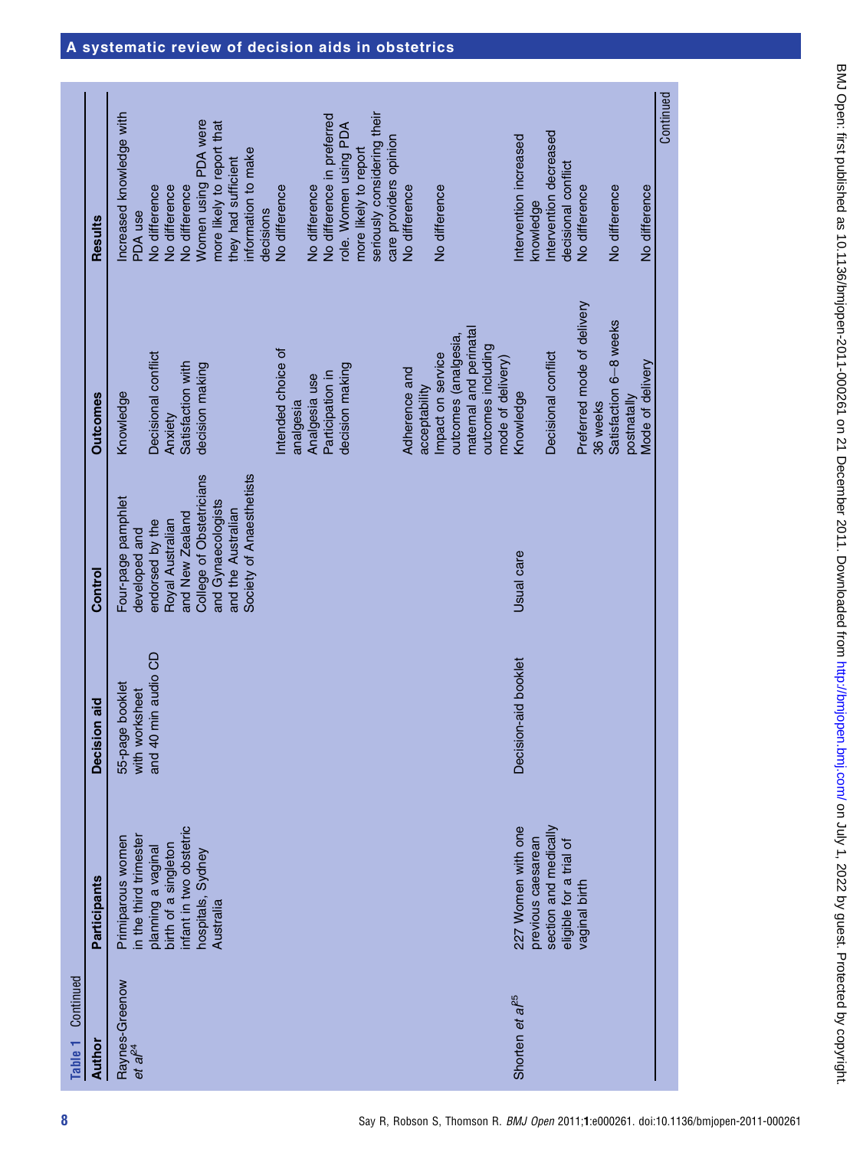|                   | <b>Results</b>      | increased knowledge with<br>PDA use         | No difference       | No difference        | No difference           | Women using PDA were     | more likely to report that | information to make<br>they had sufficient     | decisions | No difference      |           | No difference | No difference in preferred | role. Women using PDA | more likely to report | seriously considering their | care providers opinion | No difference |               | No difference     |                      |                        |                    |                   | Intervention increased                | knowledge          | Intervention decreased | decisional conflict     | No difference              | No difference                      |             |
|-------------------|---------------------|---------------------------------------------|---------------------|----------------------|-------------------------|--------------------------|----------------------------|------------------------------------------------|-----------|--------------------|-----------|---------------|----------------------------|-----------------------|-----------------------|-----------------------------|------------------------|---------------|---------------|-------------------|----------------------|------------------------|--------------------|-------------------|---------------------------------------|--------------------|------------------------|-------------------------|----------------------------|------------------------------------|-------------|
|                   | <b>Outcomes</b>     | Knowledge                                   | Decisional conflict | Anxiety              | Satisfaction with       | decision making          |                            |                                                |           | Intended choice of | analgesia | Analgesia use | Participation in           | decision making       |                       |                             |                        | Adherence and | acceptability | Impact on service | outcomes (analgesia, | maternal and perinatal | outcomes including | mode of delivery) | Knowledge                             |                    | Decisional conflict    |                         | Preferred mode of delivery | Satisfaction 6-8 weeks<br>36 weeks | postnatally |
|                   | Control             | Four-page pamphlet<br>developed and         | endorsed by the     | Royal Australian     | and New Zealand         | College of Obstetricians | and Gynaecologists         | Society of Anaesthetists<br>and the Australian |           |                    |           |               |                            |                       |                       |                             |                        |               |               |                   |                      |                        |                    |                   | Usual care                            |                    |                        |                         |                            |                                    |             |
|                   | <b>Decision aid</b> | booklet<br>with worksheet<br>55-page        | and 40 min audio CD |                      |                         |                          |                            |                                                |           |                    |           |               |                            |                       |                       |                             |                        |               |               |                   |                      |                        |                    |                   | Decision-aid booklet                  |                    |                        |                         |                            |                                    |             |
|                   | Participants        | Primiparous women<br>in the third trimester | planning a vaginal  | birth of a singleton | infant in two obstetric | hospitals, Sydney        | Australia                  |                                                |           |                    |           |               |                            |                       |                       |                             |                        |               |               |                   |                      |                        |                    |                   | 227 Women with one                    | previous caesarean | section and medically  | eligible for a trial of | vaginal birth              |                                    |             |
| Table 1 Continued | Author              | Raynes-Greenow<br><i>et al<sup>e4</sup></i> |                     |                      |                         |                          |                            |                                                |           |                    |           |               |                            |                       |                       |                             |                        |               |               |                   |                      |                        |                    |                   | Shorten et a <sup>p<sub>5</sub></sup> |                    |                        |                         |                            |                                    |             |

### A systematic review of decision aids in obstetrics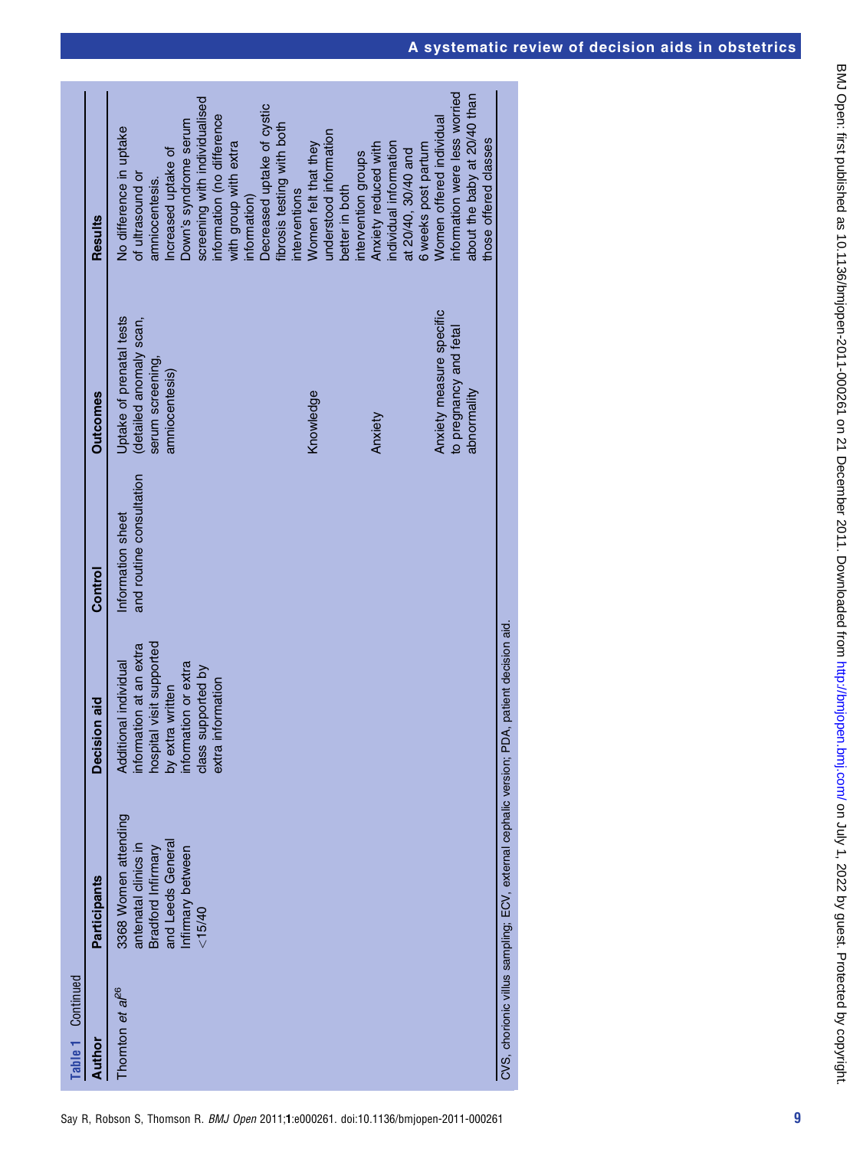| Table 1 Continued            |                                                                                                                         |                                                                                                                                                                     |                                               |                                                                                           |                                                                                                                                                                                                                                                                                                    |
|------------------------------|-------------------------------------------------------------------------------------------------------------------------|---------------------------------------------------------------------------------------------------------------------------------------------------------------------|-----------------------------------------------|-------------------------------------------------------------------------------------------|----------------------------------------------------------------------------------------------------------------------------------------------------------------------------------------------------------------------------------------------------------------------------------------------------|
| Author                       | Participants                                                                                                            | Decision aid                                                                                                                                                        | Control                                       | <b>Outcomes</b>                                                                           | <b>Results</b>                                                                                                                                                                                                                                                                                     |
| Thornton et a <sup>pee</sup> | 3368 Women attending<br>and Leeds General<br>antenatal clinics in<br>Bradford Infirmary<br>Infirmary between<br>< 15/40 | hospital visit supported<br>information at an extra<br>Additional individual<br>information or extra<br>class supported by<br>extra information<br>by extra written | and routine consultation<br>Information sheet | Uptake of prenatal tests<br>(detailed anomaly scan,<br>serum screening,<br>amniocentesis) | screening with individualised<br>Decreased uptake of cystic<br>information (no difference<br>Down's syndrome serum<br>fibrosis testing with both<br>No difference in uptake<br>with group with extra<br>Increased uptake of<br>of ultrasound or<br>amniocentesis.<br>interventions<br>information) |
|                              |                                                                                                                         |                                                                                                                                                                     |                                               | Knowledge                                                                                 | understood information<br>Women felt that they<br>better in both                                                                                                                                                                                                                                   |
|                              |                                                                                                                         |                                                                                                                                                                     |                                               | Anxiety                                                                                   | individual information<br>Anxiety reduced with<br>at 20/40, 30/40 and<br>intervention groups                                                                                                                                                                                                       |
|                              |                                                                                                                         |                                                                                                                                                                     |                                               | Anxiety measure specific<br>to pregnancy and fetal<br>abnormality                         | information were less worried<br>about the baby at 20/40 than<br>Women offered individual<br>those offered classes<br>6 weeks post partum                                                                                                                                                          |
|                              | CVS, chorionic villus sampling; ECV, external cephalic version; PDA, patient decision aid                               |                                                                                                                                                                     |                                               |                                                                                           |                                                                                                                                                                                                                                                                                                    |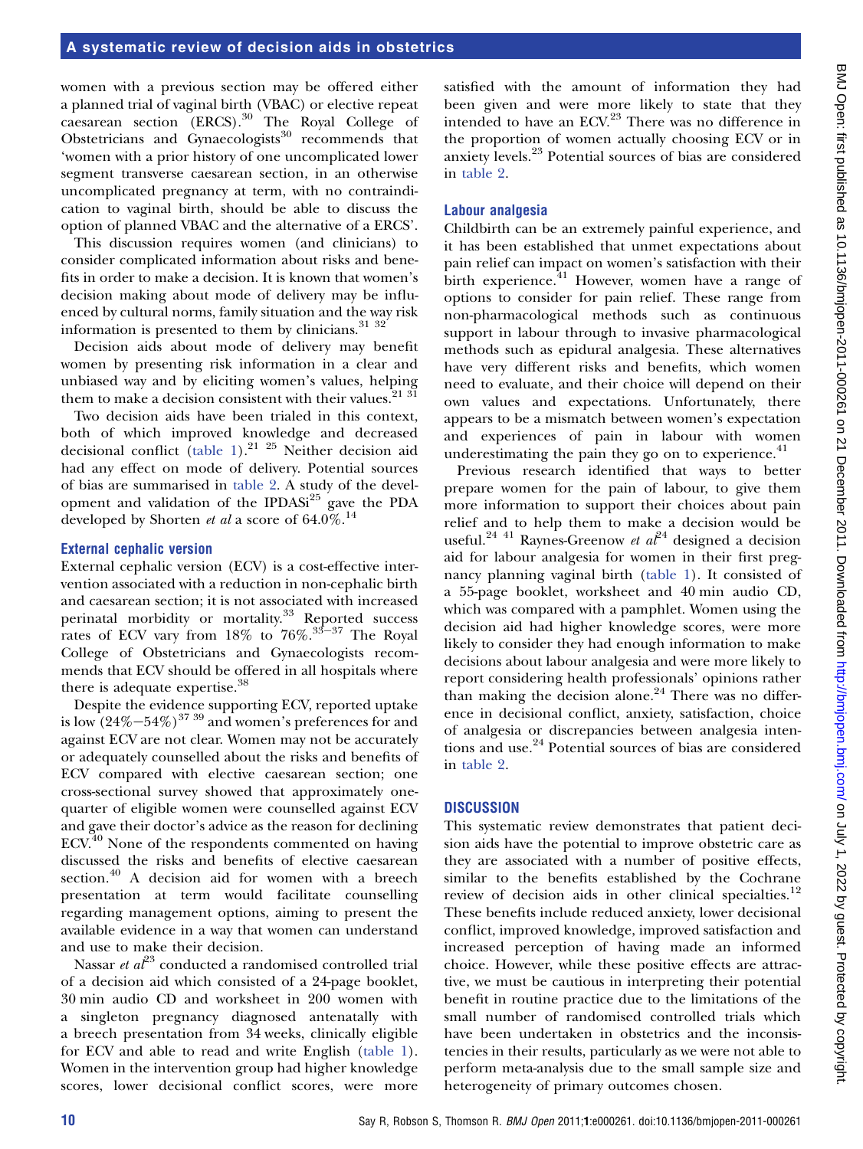women with a previous section may be offered either a planned trial of vaginal birth (VBAC) or elective repeat caesarean section (ERCS).<sup>30</sup> The Royal College of Obstetricians and  $Gynaecologists<sup>30</sup>$  recommends that 'women with a prior history of one uncomplicated lower segment transverse caesarean section, in an otherwise uncomplicated pregnancy at term, with no contraindication to vaginal birth, should be able to discuss the option of planned VBAC and the alternative of a ERCS'.

This discussion requires women (and clinicians) to consider complicated information about risks and benefits in order to make a decision. It is known that women's decision making about mode of delivery may be influenced by cultural norms, family situation and the way risk information is presented to them by clinicians. $3132$ 

Decision aids about mode of delivery may benefit women by presenting risk information in a clear and unbiased way and by eliciting women's values, helping them to make a decision consistent with their values.<sup>21 31</sup>

Two decision aids have been trialed in this context, both of which improved knowledge and decreased decisional conflict (table 1).<sup>21</sup> <sup>25</sup> Neither decision aid had any effect on mode of delivery. Potential sources of bias are summarised in table 2. A study of the development and validation of the IPDAS $i^{25}$  gave the PDA developed by Shorten et al a score of  $64.0\%$ .<sup>14</sup>

#### External cephalic version

External cephalic version (ECV) is a cost-effective intervention associated with a reduction in non-cephalic birth and caesarean section; it is not associated with increased perinatal morbidity or mortality.<sup>33</sup> Reported success rates of ECV vary from  $18\%$  to  $76\%$ .<sup>33–37</sup> The Royal College of Obstetricians and Gynaecologists recommends that ECV should be offered in all hospitals where there is adequate expertise.<sup>38</sup>

Despite the evidence supporting ECV, reported uptake is low  $(24\%-54\%)^{37}$  39 and women's preferences for and against ECV are not clear. Women may not be accurately or adequately counselled about the risks and benefits of ECV compared with elective caesarean section; one cross-sectional survey showed that approximately onequarter of eligible women were counselled against ECV and gave their doctor's advice as the reason for declining ECV.<sup>40</sup> None of the respondents commented on having discussed the risks and benefits of elective caesarean section.<sup>40</sup> A decision aid for women with a breech presentation at term would facilitate counselling regarding management options, aiming to present the available evidence in a way that women can understand and use to make their decision.

Nassar et  $a^{23}$  conducted a randomised controlled trial of a decision aid which consisted of a 24-page booklet, 30 min audio CD and worksheet in 200 women with a singleton pregnancy diagnosed antenatally with a breech presentation from 34 weeks, clinically eligible for ECV and able to read and write English (table 1). Women in the intervention group had higher knowledge scores, lower decisional conflict scores, were more

satisfied with the amount of information they had been given and were more likely to state that they intended to have an ECV.<sup>23</sup> There was no difference in the proportion of women actually choosing ECV or in anxiety levels.<sup>23</sup> Potential sources of bias are considered in table 2.

#### Labour analgesia

Childbirth can be an extremely painful experience, and it has been established that unmet expectations about pain relief can impact on women's satisfaction with their birth experience. $^{41}$  However, women have a range of options to consider for pain relief. These range from non-pharmacological methods such as continuous support in labour through to invasive pharmacological methods such as epidural analgesia. These alternatives have very different risks and benefits, which women need to evaluate, and their choice will depend on their own values and expectations. Unfortunately, there appears to be a mismatch between women's expectation and experiences of pain in labour with women underestimating the pain they go on to experience. $41$ 

Previous research identified that ways to better prepare women for the pain of labour, to give them more information to support their choices about pain relief and to help them to make a decision would be useful.<sup>24 41</sup> Raynes-Greenow et  $a^{24}$  designed a decision aid for labour analgesia for women in their first pregnancy planning vaginal birth (table 1). It consisted of a 55-page booklet, worksheet and 40 min audio CD, which was compared with a pamphlet. Women using the decision aid had higher knowledge scores, were more likely to consider they had enough information to make decisions about labour analgesia and were more likely to report considering health professionals' opinions rather than making the decision alone. $24$  There was no difference in decisional conflict, anxiety, satisfaction, choice of analgesia or discrepancies between analgesia intentions and use.<sup>24</sup> Potential sources of bias are considered in table 2.

#### **DISCUSSION**

This systematic review demonstrates that patient decision aids have the potential to improve obstetric care as they are associated with a number of positive effects, similar to the benefits established by the Cochrane review of decision aids in other clinical specialties.<sup>12</sup> These benefits include reduced anxiety, lower decisional conflict, improved knowledge, improved satisfaction and increased perception of having made an informed choice. However, while these positive effects are attractive, we must be cautious in interpreting their potential benefit in routine practice due to the limitations of the small number of randomised controlled trials which have been undertaken in obstetrics and the inconsistencies in their results, particularly as we were not able to perform meta-analysis due to the small sample size and heterogeneity of primary outcomes chosen.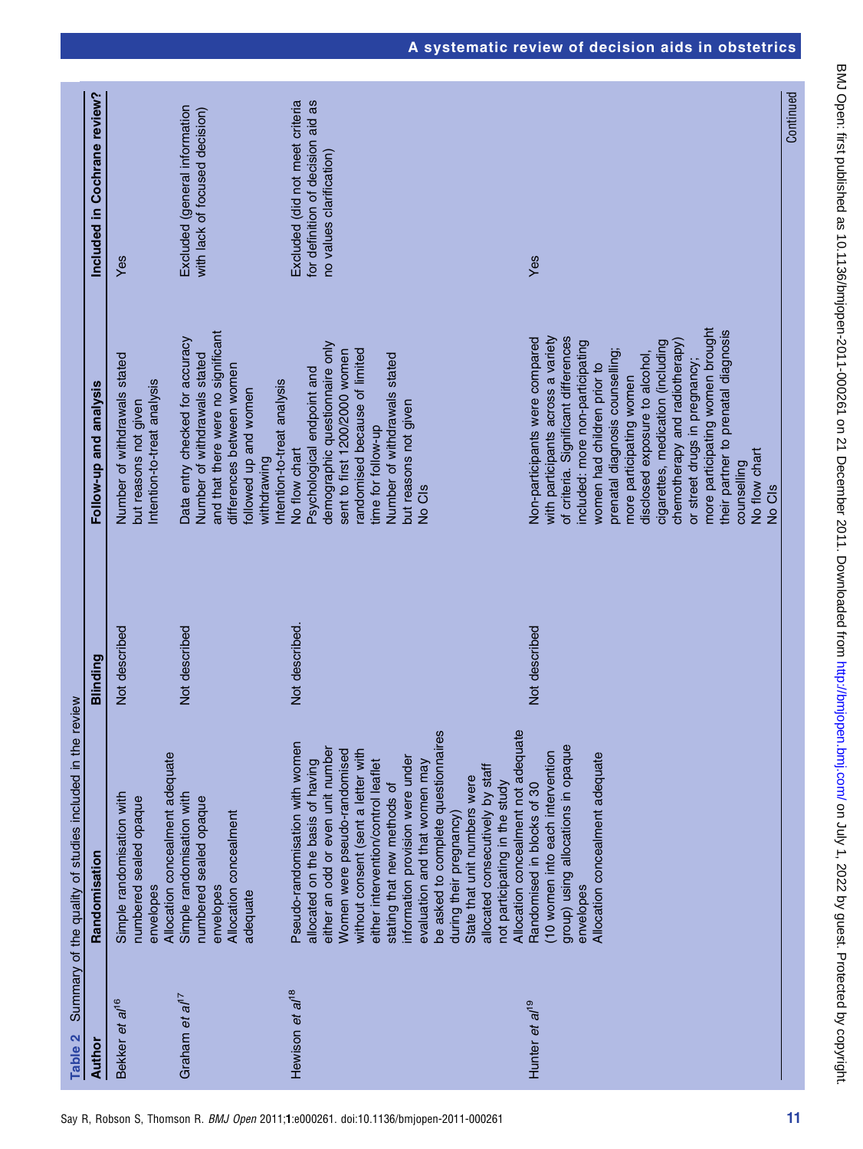| Table 2                     | Summary of the quality of studies included in the review                                                                                                                                                                                                                                                                                                                                                                                                                                                                                  |                |                                                                                                                                                                                                                                                                                                                                                                                                                                                                                                               |                                                                                                  |
|-----------------------------|-------------------------------------------------------------------------------------------------------------------------------------------------------------------------------------------------------------------------------------------------------------------------------------------------------------------------------------------------------------------------------------------------------------------------------------------------------------------------------------------------------------------------------------------|----------------|---------------------------------------------------------------------------------------------------------------------------------------------------------------------------------------------------------------------------------------------------------------------------------------------------------------------------------------------------------------------------------------------------------------------------------------------------------------------------------------------------------------|--------------------------------------------------------------------------------------------------|
| <b>Author</b>               | Randomisation                                                                                                                                                                                                                                                                                                                                                                                                                                                                                                                             | Blinding       | Follow-up and analysis                                                                                                                                                                                                                                                                                                                                                                                                                                                                                        | Included in Cochrane review?                                                                     |
| Bekker et al <sup>16</sup>  | Allocation concealment adequate<br>Simple randomisation with<br>numbered sealed opaque<br>envelopes                                                                                                                                                                                                                                                                                                                                                                                                                                       | Not described  | Number of withdrawals stated<br>Intention-to-treat analysis<br>but reasons not given                                                                                                                                                                                                                                                                                                                                                                                                                          | Yes                                                                                              |
| Graham et al <sup>17</sup>  | Simple randomisation with<br>numbered sealed opaque<br>Allocation concealment<br>envelopes<br>adequate                                                                                                                                                                                                                                                                                                                                                                                                                                    | Not described  | and that there were no significant<br>Data entry checked for accuracy<br>Number of withdrawals stated<br>differences between women<br>Intention-to-treat analysis<br>followed up and women<br>withdrawing                                                                                                                                                                                                                                                                                                     | Excluded (general information<br>with lack of focused decision)                                  |
| Hewison et al <sup>18</sup> | Allocation concealment not adequate<br>be asked to complete questionnaires<br>Pseudo-randomisation with women<br>either an odd or even unit number<br>Women were pseudo-randomised<br>without consent (sent a letter with<br>information provision were under<br>allocated on the basis of having<br>either intervention/control leaflet<br>evaluation and that women may<br>allocated consecutively by staff<br>State that unit numbers were<br>not participating in the study<br>stating that new methods of<br>during their pregnancy) | Not described. | demographic questionnaire only<br>randomised because of limited<br>sent to first 1200/2000 women<br>Number of withdrawals stated<br>Psychological endpoint and<br>but reasons not given<br>time for follow-up<br>No flow chart<br>No Cls                                                                                                                                                                                                                                                                      | for definition of decision aid as<br>Excluded (did not meet criteria<br>no values clarification) |
| Hunter et al <sup>19</sup>  | group) using allocations in opaque<br>(10 women into each intervention<br>Allocation concealment adequate<br>Randomised in blocks of 30<br>envelopes                                                                                                                                                                                                                                                                                                                                                                                      | Not described  | more participating women brought<br>their partner to prenatal diagnosis<br>with participants across a variety<br>of criteria. Significant differences<br>Non-participants were compared<br>included: more non-participating<br>cigarettes, medication (including<br>chemotherapy and radiotherapy)<br>prenatal diagnosis counselling;<br>disclosed exposure to alcohol,<br>or street drugs in pregnancy;<br>women had children prior to<br>more participating women<br>No flow chart<br>counselling<br>No Cls | Yes                                                                                              |
|                             |                                                                                                                                                                                                                                                                                                                                                                                                                                                                                                                                           |                |                                                                                                                                                                                                                                                                                                                                                                                                                                                                                                               | Continued                                                                                        |

BMJ Open: first published as 10.1136/bmjopen-2011-000261 on 21 December 2011. Downloaded from http://bmjopen.bmj.com/ on July 1, 2022 by guest. Protected by copyright. BMJ Open: first published as 10.1136/bmjopen-2011-000261 on 21 December 2011. Downloaded from <http://bmjopen.bmj.com/> on July 1, 2022 by guest. Protected by copyright.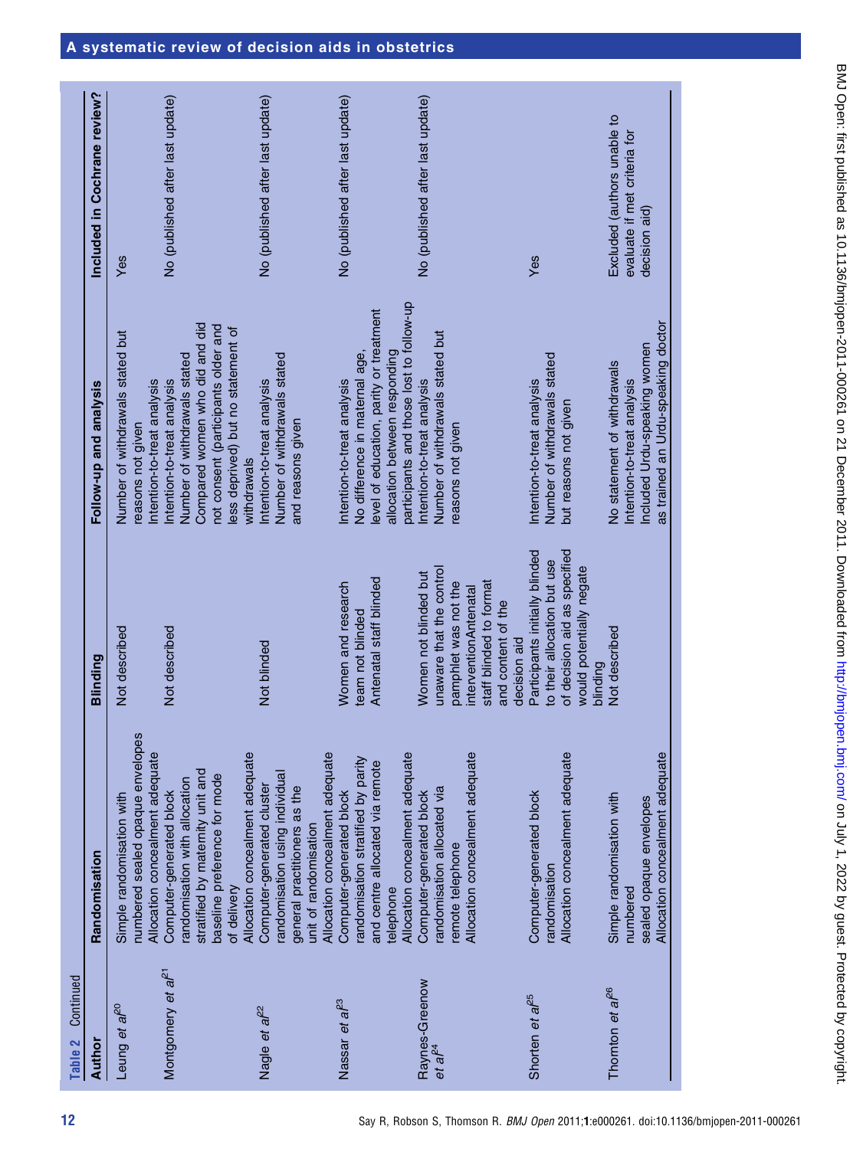| Continued<br>Table 2                 |                                                                                                                                                                                 |                                                                                                                                                                      |                                                                                                                                                                                           |                                                                              |
|--------------------------------------|---------------------------------------------------------------------------------------------------------------------------------------------------------------------------------|----------------------------------------------------------------------------------------------------------------------------------------------------------------------|-------------------------------------------------------------------------------------------------------------------------------------------------------------------------------------------|------------------------------------------------------------------------------|
| Author                               | Randomisation                                                                                                                                                                   | Blinding                                                                                                                                                             | Follow-up and analysis                                                                                                                                                                    | Included in Cochrane review?                                                 |
| Leung et $a^{p0}$                    | numbered sealed opaque envelopes<br>Allocation concealment adequate<br>Simple randomisation with                                                                                | Not described                                                                                                                                                        | Number of withdrawals stated but<br>Intention-to-treat analysis<br>reasons not given                                                                                                      | Yes                                                                          |
| Montgomery <i>et a</i> <sup>P1</sup> | Allocation concealment adequate<br>stratified by maternity unit and<br>baseline preference for mode<br>randomisation with allocation<br>Computer-generated block<br>of delivery | Not described                                                                                                                                                        | Compared women who did and did<br>not consent (participants older and<br>less deprived) but no statement of<br>Number of withdrawals stated<br>Intention-to-treat analysis<br>withdrawals | No (published after last update)                                             |
| Nagle <i>et al<sup>22</sup></i>      | Allocation concealment adequate<br>randomisation using individual<br>Computer-generated cluster<br>general practitioners as the<br>unit of randomisation                        | Not blinded                                                                                                                                                          | Number of withdrawals stated<br>Intention-to-treat analysis<br>and reasons given                                                                                                          | No (published after last update)                                             |
| Nassar et a <sup>p<sub>3</sub></sup> | Allocation concealment adequate<br>randomisation stratified by parity<br>and centre allocated via remote<br>Computer-generated block<br>telephone                               | Antenatal staff blinded<br>Women and research<br>team not blinded                                                                                                    | participants and those lost to follow-up<br>level of education, parity or treatment<br>allocation between responding<br>No difference in maternal age,<br>Intention-to-treat analysis     | No (published after last update)                                             |
| Raynes-Greenow<br>et a $l^{4}$       | Allocation concealment adequate<br>randomisation allocated via<br>Computer-generated block<br>remote telephone                                                                  | unaware that the control<br>Women not blinded but<br>pamphlet was not the<br>staff blinded to format<br>intervention Antenatal<br>and content of the<br>decision aid | Number of withdrawals stated but<br>Intention-to-treat analysis<br>reasons not given                                                                                                      | No (published after last update)                                             |
| Shorten et al <sup>es</sup>          | Allocation concealment adequate<br>Computer-generated block<br>randomisation                                                                                                    | Participants initially blinded<br>of decision aid as specified<br>to their allocation but use<br>would potentially negate<br>blinding                                | Number of withdrawals stated<br>Intention-to-treat analysis<br>but reasons not given                                                                                                      | Yes                                                                          |
| Thornton et al <sup>e6</sup>         | Allocation concealment adequate<br>Simple randomisation with<br>sealed opaque envelopes<br>numbered                                                                             | Not described                                                                                                                                                        | as trained an Urdu-speaking doctor<br>Included Urdu-speaking women<br>No statement of withdrawals<br>Intention-to-treat analysis                                                          | Excluded (authors unable to<br>evaluate if met criteria for<br>decision aid) |
|                                      |                                                                                                                                                                                 |                                                                                                                                                                      |                                                                                                                                                                                           |                                                                              |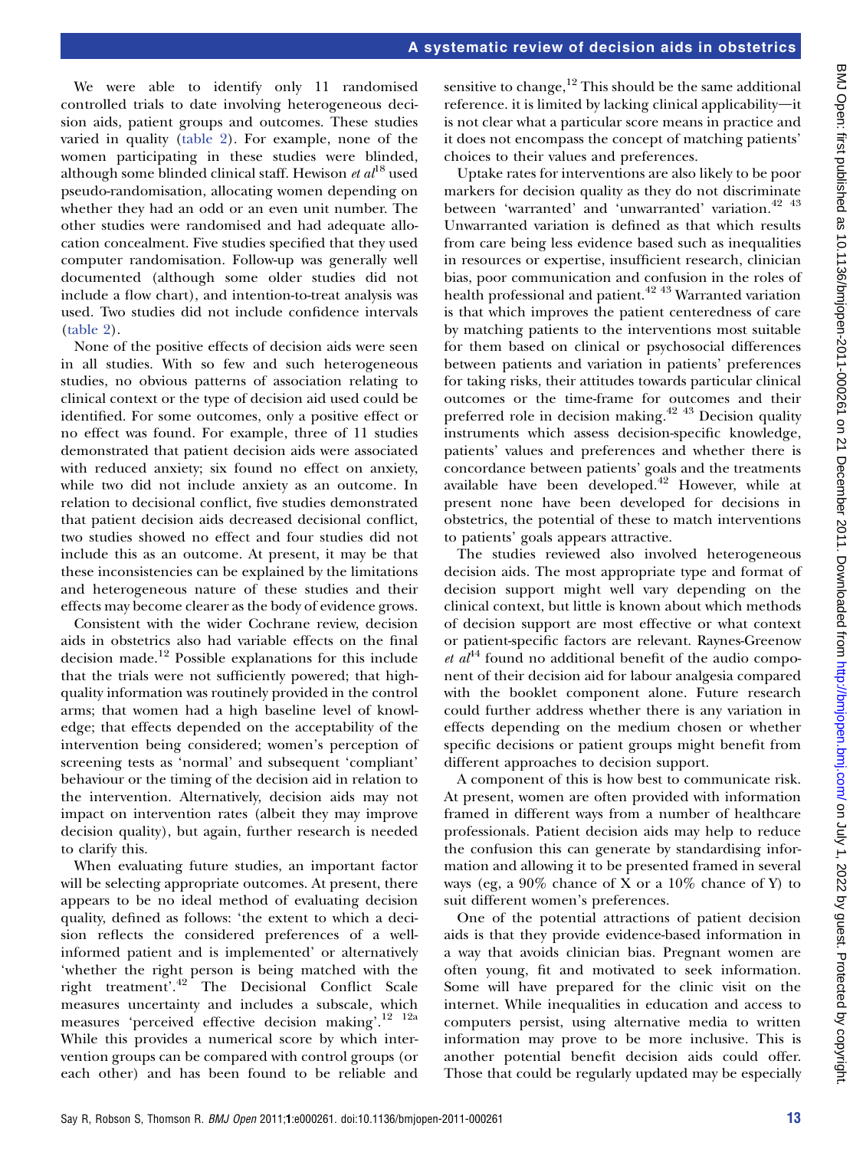We were able to identify only 11 randomised controlled trials to date involving heterogeneous decision aids, patient groups and outcomes. These studies varied in quality (table 2). For example, none of the women participating in these studies were blinded, although some blinded clinical staff. Hewison et  $al^{18}$  used pseudo-randomisation, allocating women depending on whether they had an odd or an even unit number. The other studies were randomised and had adequate allocation concealment. Five studies specified that they used computer randomisation. Follow-up was generally well documented (although some older studies did not include a flow chart), and intention-to-treat analysis was used. Two studies did not include confidence intervals (table 2).

None of the positive effects of decision aids were seen in all studies. With so few and such heterogeneous studies, no obvious patterns of association relating to clinical context or the type of decision aid used could be identified. For some outcomes, only a positive effect or no effect was found. For example, three of 11 studies demonstrated that patient decision aids were associated with reduced anxiety; six found no effect on anxiety, while two did not include anxiety as an outcome. In relation to decisional conflict, five studies demonstrated that patient decision aids decreased decisional conflict, two studies showed no effect and four studies did not include this as an outcome. At present, it may be that these inconsistencies can be explained by the limitations and heterogeneous nature of these studies and their effects may become clearer as the body of evidence grows.

Consistent with the wider Cochrane review, decision aids in obstetrics also had variable effects on the final decision made.<sup>12</sup> Possible explanations for this include that the trials were not sufficiently powered; that highquality information was routinely provided in the control arms; that women had a high baseline level of knowledge; that effects depended on the acceptability of the intervention being considered; women's perception of screening tests as 'normal' and subsequent 'compliant' behaviour or the timing of the decision aid in relation to the intervention. Alternatively, decision aids may not impact on intervention rates (albeit they may improve decision quality), but again, further research is needed to clarify this.

When evaluating future studies, an important factor will be selecting appropriate outcomes. At present, there appears to be no ideal method of evaluating decision quality, defined as follows: 'the extent to which a decision reflects the considered preferences of a wellinformed patient and is implemented' or alternatively 'whether the right person is being matched with the right treatment'.<sup>42</sup> The Decisional Conflict Scale measures uncertainty and includes a subscale, which measures 'perceived effective decision making'.<sup>12</sup> <sup>12a</sup> While this provides a numerical score by which intervention groups can be compared with control groups (or each other) and has been found to be reliable and

sensitive to change, $^{12}$  This should be the same additional reference. it is limited by lacking clinical applicability-it is not clear what a particular score means in practice and it does not encompass the concept of matching patients' choices to their values and preferences.

Uptake rates for interventions are also likely to be poor markers for decision quality as they do not discriminate between 'warranted' and 'unwarranted' variation.<sup>42</sup> <sup>43</sup> Unwarranted variation is defined as that which results from care being less evidence based such as inequalities in resources or expertise, insufficient research, clinician bias, poor communication and confusion in the roles of health professional and patient.<sup>42</sup> <sup>43</sup> Warranted variation is that which improves the patient centeredness of care by matching patients to the interventions most suitable for them based on clinical or psychosocial differences between patients and variation in patients' preferences for taking risks, their attitudes towards particular clinical outcomes or the time-frame for outcomes and their preferred role in decision making.<sup>42 43</sup> Decision quality instruments which assess decision-specific knowledge, patients' values and preferences and whether there is concordance between patients' goals and the treatments available have been developed.<sup>42</sup> However, while at present none have been developed for decisions in obstetrics, the potential of these to match interventions to patients' goals appears attractive.

The studies reviewed also involved heterogeneous decision aids. The most appropriate type and format of decision support might well vary depending on the clinical context, but little is known about which methods of decision support are most effective or what context or patient-specific factors are relevant. Raynes-Greenow et  $a^{44}$  found no additional benefit of the audio component of their decision aid for labour analgesia compared with the booklet component alone. Future research could further address whether there is any variation in effects depending on the medium chosen or whether specific decisions or patient groups might benefit from different approaches to decision support.

A component of this is how best to communicate risk. At present, women are often provided with information framed in different ways from a number of healthcare professionals. Patient decision aids may help to reduce the confusion this can generate by standardising information and allowing it to be presented framed in several ways (eg, a 90% chance of X or a 10% chance of Y) to suit different women's preferences.

One of the potential attractions of patient decision aids is that they provide evidence-based information in a way that avoids clinician bias. Pregnant women are often young, fit and motivated to seek information. Some will have prepared for the clinic visit on the internet. While inequalities in education and access to computers persist, using alternative media to written information may prove to be more inclusive. This is another potential benefit decision aids could offer. Those that could be regularly updated may be especially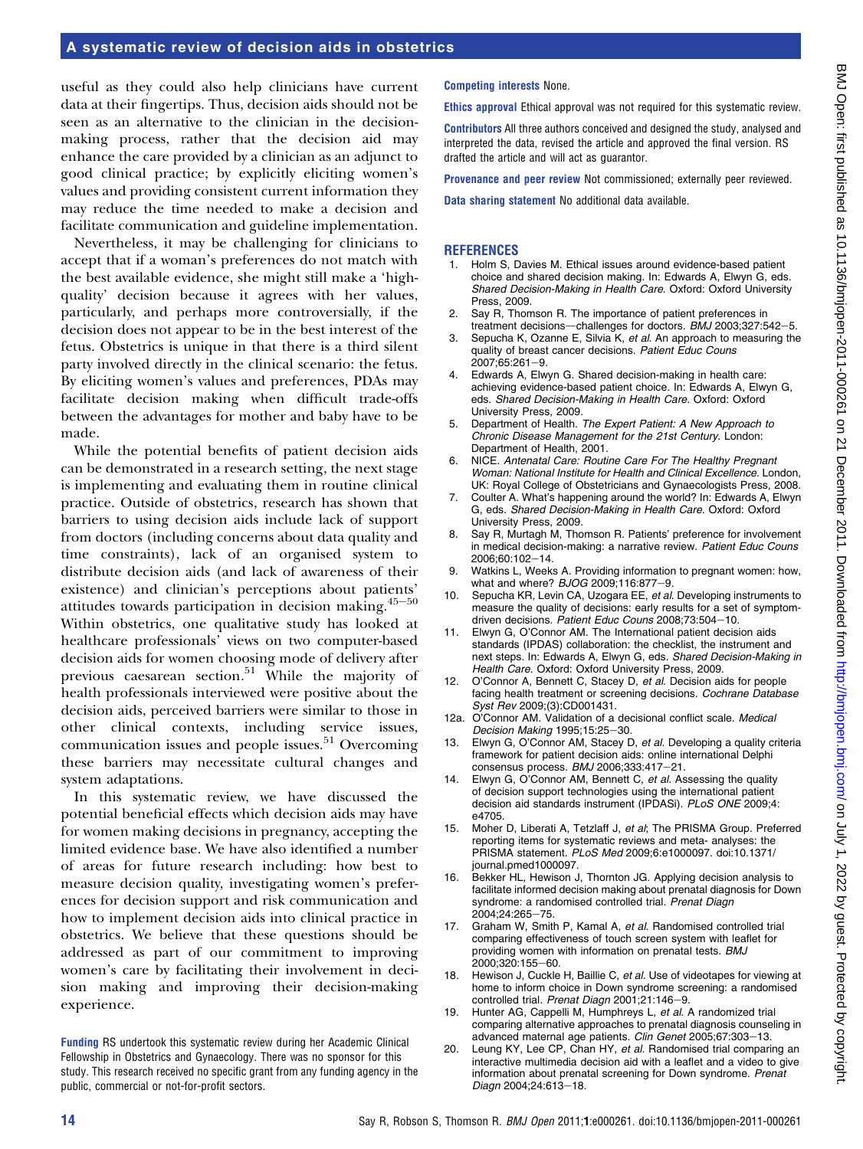useful as they could also help clinicians have current data at their fingertips. Thus, decision aids should not be seen as an alternative to the clinician in the decisionmaking process, rather that the decision aid may enhance the care provided by a clinician as an adjunct to good clinical practice; by explicitly eliciting women's values and providing consistent current information they may reduce the time needed to make a decision and facilitate communication and guideline implementation.

Nevertheless, it may be challenging for clinicians to accept that if a woman's preferences do not match with the best available evidence, she might still make a 'highquality' decision because it agrees with her values, particularly, and perhaps more controversially, if the decision does not appear to be in the best interest of the fetus. Obstetrics is unique in that there is a third silent party involved directly in the clinical scenario: the fetus. By eliciting women's values and preferences, PDAs may facilitate decision making when difficult trade-offs between the advantages for mother and baby have to be made.

While the potential benefits of patient decision aids can be demonstrated in a research setting, the next stage is implementing and evaluating them in routine clinical practice. Outside of obstetrics, research has shown that barriers to using decision aids include lack of support from doctors (including concerns about data quality and time constraints), lack of an organised system to distribute decision aids (and lack of awareness of their existence) and clinician's perceptions about patients' attitudes towards participation in decision making. $45-50$ Within obstetrics, one qualitative study has looked at healthcare professionals' views on two computer-based decision aids for women choosing mode of delivery after previous caesarean section.<sup>51</sup> While the majority of health professionals interviewed were positive about the decision aids, perceived barriers were similar to those in other clinical contexts, including service issues, communication issues and people issues. $51$  Overcoming these barriers may necessitate cultural changes and system adaptations.

In this systematic review, we have discussed the potential beneficial effects which decision aids may have for women making decisions in pregnancy, accepting the limited evidence base. We have also identified a number of areas for future research including: how best to measure decision quality, investigating women's preferences for decision support and risk communication and how to implement decision aids into clinical practice in obstetrics. We believe that these questions should be addressed as part of our commitment to improving women's care by facilitating their involvement in decision making and improving their decision-making experience.

Funding RS undertook this systematic review during her Academic Clinical Fellowship in Obstetrics and Gynaecology. There was no sponsor for this study. This research received no specific grant from any funding agency in the public, commercial or not-for-profit sectors.

Competing interests None.

Ethics approval Ethical approval was not required for this systematic review.

Contributors All three authors conceived and designed the study, analysed and interpreted the data, revised the article and approved the final version. RS drafted the article and will act as guarantor.

Provenance and peer review Not commissioned; externally peer reviewed.

Data sharing statement No additional data available.

#### **REFERENCES**

- 1. Holm S, Davies M. Ethical issues around evidence-based patient choice and shared decision making. In: Edwards A, Elwyn G, eds. Shared Decision-Making in Health Care. Oxford: Oxford University Press, 2009.
- 2. Say R, Thomson R. The importance of patient preferences in treatment decisions-challenges for doctors. BMJ 2003;327:542-5.
- Sepucha K, Ozanne E, Silvia K, et al. An approach to measuring the quality of breast cancer decisions. Patient Educ Couns  $2007;65:261-9.$
- 4. Edwards A, Elwyn G. Shared decision-making in health care: achieving evidence-based patient choice. In: Edwards A, Elwyn G, eds. Shared Decision-Making in Health Care. Oxford: Oxford University Press, 2009.
- 5. Department of Health. The Expert Patient: A New Approach to Chronic Disease Management for the 21st Century. London: Department of Health, 2001.
- 6. NICE. Antenatal Care: Routine Care For The Healthy Pregnant Woman: National Institute for Health and Clinical Excellence. London, UK: Royal College of Obstetricians and Gynaecologists Press, 2008.
- 7. Coulter A. What's happening around the world? In: Edwards A, Elwyn G, eds. Shared Decision-Making in Health Care. Oxford: Oxford University Press, 2009.
- 8. Say R, Murtagh M, Thomson R. Patients' preference for involvement in medical decision-making: a narrative review. Patient Educ Couns  $2006:60:102 - 14$
- 9. Watkins L, Weeks A. Providing information to pregnant women: how, what and where?  $BJOG$  2009:116:877-9.
- 10. Sepucha KR, Levin CA, Uzogara EE, et al. Developing instruments to measure the quality of decisions: early results for a set of symptomdriven decisions. Patient Educ Couns 2008;73:504-10.
- 11. Elwyn G, O'Connor AM. The International patient decision aids standards (IPDAS) collaboration: the checklist, the instrument and next steps. In: Edwards A, Elwyn G, eds. Shared Decision-Making in Health Care. Oxford: Oxford University Press, 2009.
- 12. O'Connor A, Bennett C, Stacey D, et al. Decision aids for people facing health treatment or screening decisions. Cochrane Database Syst Rev 2009;(3):CD001431.
- 12a. O'Connor AM. Validation of a decisional conflict scale. Medical Decision Making 1995;15:25-30.
- Elwyn G, O'Connor AM, Stacey D, et al. Developing a quality criteria framework for patient decision aids: online international Delphi consensus process.  $BMJ$  2006;333:417-21.
- 14. Elwyn G, O'Connor AM, Bennett C, et al. Assessing the quality of decision support technologies using the international patient decision aid standards instrument (IPDASi). PLoS ONE 2009;4: e4705.
- 15. Moher D, Liberati A, Tetzlaff J, et al; The PRISMA Group. Preferred reporting items for systematic reviews and meta- analyses: the PRISMA statement. PLoS Med 2009;6:e1000097. doi:10.1371/ journal.pmed1000097.
- 16. Bekker HL, Hewison J, Thornton JG. Applying decision analysis to facilitate informed decision making about prenatal diagnosis for Down syndrome: a randomised controlled trial. Prenat Diagn 2004;24:265-75.
- 17. Graham W, Smith P, Kamal A, et al. Randomised controlled trial comparing effectiveness of touch screen system with leaflet for providing women with information on prenatal tests. BMJ 2000;320:155-60.
- 18. Hewison J, Cuckle H, Baillie C, et al. Use of videotapes for viewing at home to inform choice in Down syndrome screening: a randomised controlled trial. Prenat Diagn 2001;21:146-9.
- 19. Hunter AG, Cappelli M, Humphreys L, et al. A randomized trial comparing alternative approaches to prenatal diagnosis counseling in advanced maternal age patients. Clin Genet 2005;67:303-13.
- 20. Leung KY, Lee CP, Chan HY, et al. Randomised trial comparing an interactive multimedia decision aid with a leaflet and a video to give information about prenatal screening for Down syndrome. Prenat Diagn 2004;24:613-18.